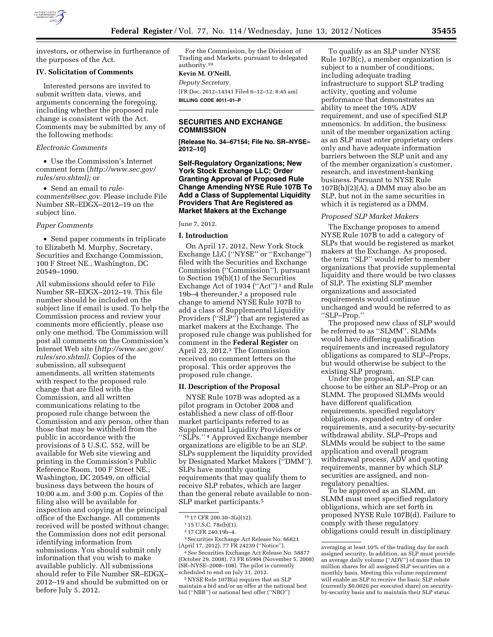

investors, or otherwise in furtherance of the purposes of the Act.

### **IV. Solicitation of Comments**

Interested persons are invited to submit written data, views, and arguments concerning the foregoing, including whether the proposed rule change is consistent with the Act. Comments may be submitted by any of the following methods:

## *Electronic Comments*

• Use the Commission's Internet comment form (*[http://www.sec.gov/](http://www.sec.gov/rules/sro.shtml)  [rules/sro.shtml\);](http://www.sec.gov/rules/sro.shtml)* or

• Send an email to *[rule](mailto:rule-comments@sec.gov)[comments@sec.gov.](mailto:rule-comments@sec.gov)* Please include File Number SR–EDGX–2012–19 on the subject line.

### *Paper Comments*

• Send paper comments in triplicate to Elizabeth M. Murphy, Secretary, Securities and Exchange Commission, 100 F Street NE., Washington, DC 20549–1090.

All submissions should refer to File Number SR–EDGX–2012–19. This file number should be included on the subject line if email is used. To help the Commission process and review your comments more efficiently, please use only one method. The Commission will post all comments on the Commission's Internet Web site (*[http://www.sec.gov/](http://www.sec.gov/rules/sro.shtml)  [rules/sro.shtml\).](http://www.sec.gov/rules/sro.shtml)* Copies of the submission, all subsequent amendments, all written statements with respect to the proposed rule change that are filed with the Commission, and all written communications relating to the proposed rule change between the Commission and any person, other than those that may be withheld from the public in accordance with the provisions of 5 U.S.C. 552, will be available for Web site viewing and printing in the Commission's Public Reference Room, 100 F Street NE., Washington, DC 20549, on official business days between the hours of 10:00 a.m. and 3:00 p.m. Copies of the filing also will be available for inspection and copying at the principal office of the Exchange. All comments received will be posted without change; the Commission does not edit personal identifying information from submissions. You should submit only information that you wish to make available publicly. All submissions should refer to File Number SR–EDGX– 2012–19 and should be submitted on or before July 5, 2012.

For the Commission, by the Division of Trading and Markets, pursuant to delegated authority.10

### **Kevin M. O'Neill,**

*Deputy Secretary.*  [FR Doc. 2012–14341 Filed 6–12–12; 8:45 am] **BILLING CODE 8011–01–P** 

### **SECURITIES AND EXCHANGE COMMISSION**

**[Release No. 34–67154; File No. SR–NYSE– 2012–10]** 

## **Self-Regulatory Organizations; New York Stock Exchange LLC; Order Granting Approval of Proposed Rule Change Amending NYSE Rule 107B To Add a Class of Supplemental Liquidity Providers That Are Registered as Market Makers at the Exchange**

## June 7, 2012.

#### **I. Introduction**

On April 17, 2012, New York Stock Exchange LLC (''NYSE'' or ''Exchange'') filed with the Securities and Exchange Commission (''Commission''), pursuant to Section 19(b)(1) of the Securities Exchange Act of 1934 (''Act'') 1 and Rule 19b–4 thereunder,<sup>2</sup> a proposed rule change to amend NYSE Rule 107B to add a class of Supplemental Liquidity Providers (''SLP'') that are registered as market makers at the Exchange. The proposed rule change was published for comment in the **Federal Register** on April 23, 2012.3 The Commission received no comment letters on the proposal. This order approves the proposed rule change.

### **II. Description of the Proposal**

NYSE Rule 107B was adopted as a pilot program in October 2008 and established a new class of off-floor market participants referred to as Supplemental Liquidity Providers or ''SLPs.'' 4 Approved Exchange member organizations are eligible to be an SLP. SLPs supplement the liquidity provided by Designated Market Makers (''DMM''). SLPs have monthly quoting requirements that may qualify them to receive SLP rebates, which are larger than the general rebate available to non-SLP market participants.5

5NYSE Rule 107B(a) requires that an SLP maintain a bid and/or an offer at the national best bid (''NBB'') or national best offer (''NBO'')

To qualify as an SLP under NYSE Rule 107B(c), a member organization is subject to a number of conditions, including adequate trading infrastructure to support SLP trading activity, quoting and volume performance that demonstrates an ability to meet the 10% ADV requirement, and use of specified SLP mnemonics. In addition, the business unit of the member organization acting as an SLP must enter proprietary orders only and have adequate information barriers between the SLP unit and any of the member organization's customer, research, and investment-banking business. Pursuant to NYSE Rule 107B(h)(2)(A), a DMM may also be an SLP, but not in the same securities in which it is registered as a DMM.

### *Proposed SLP Market Makers*

The Exchange proposes to amend NYSE Rule 107B to add a category of SLPs that would be registered as market makers at the Exchange. As proposed, the term ''SLP'' would refer to member organizations that provide supplemental liquidity and there would be two classes of SLP. The existing SLP member organizations and associated requirements would continue unchanged and would be referred to as ''SLP–Prop.''

The proposed new class of SLP would be referred to as ''SLMM''. SLMMs would have differing qualification requirements and increased regulatory obligations as compared to SLP–Props, but would otherwise be subject to the existing SLP program.

Under the proposal, an SLP can choose to be either an SLP–Prop or an SLMM. The proposed SLMMs would have different qualification requirements, specified regulatory obligations, expanded entry of order requirements, and a security-by-security withdrawal ability. SLP–Props and SLMMs would be subject to the same application and overall program withdrawal process, ADV and quoting requirements, manner by which SLP securities are assigned, and nonregulatory penalties.

To be approved as an SLMM, an SLMM must meet specified regulatory obligations, which are set forth in proposed NYSE Rule 107B(d). Failure to comply with these regulatory obligations could result in disciplinary

<sup>10</sup> 17 CFR 200.30–3(a)(12).

<sup>1</sup> 15 U.S.C. 78s(b)(1).

<sup>2</sup> 17 CFR 240.19b–4.

<sup>3</sup>Securities Exchange Act Release No. 66821 (April 17, 2012), 77 FR 24239 (''Notice'').

<sup>4</sup>*See* Securities Exchange Act Release No. 58877 (October 29, 2008), 73 FR 65904 (November 5, 2008) (SR–NYSE–2008–108). The pilot is currently scheduled to end on July 31, 2012.

averaging at least 10% of the trading day for each assigned security. In addition, an SLP must provide an average daily volume (''ADV'') of more than 10 million shares for all assigned SLP securities on a monthly basis. Meeting this volume requirement will enable an SLP to receive the basic SLP rebate (currently \$0.0020 per executed share) on securityby-security basis and to maintain their SLP status.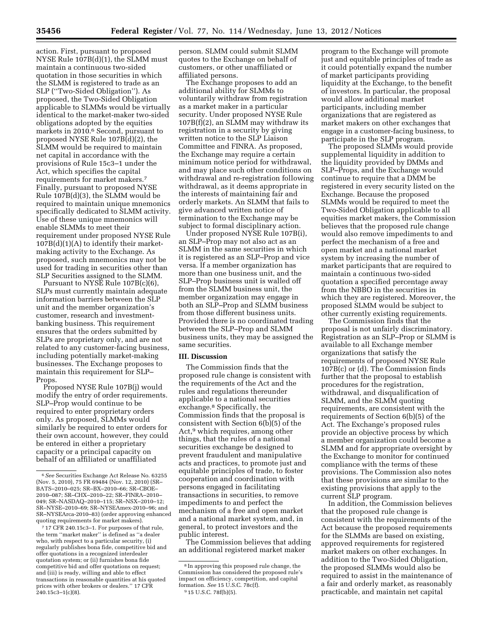action. First, pursuant to proposed NYSE Rule 107B(d)(1), the SLMM must maintain a continuous two-sided quotation in those securities in which the SLMM is registered to trade as an SLP (''Two-Sided Obligation''). As proposed, the Two-Sided Obligation applicable to SLMMs would be virtually identical to the market-maker two-sided obligations adopted by the equities markets in 2010.6 Second, pursuant to proposed NYSE Rule 107B(d)(2), the SLMM would be required to maintain net capital in accordance with the provisions of Rule 15c3–1 under the Act, which specifies the capital requirements for market makers.7 Finally, pursuant to proposed NYSE Rule 107B(d)(3), the SLMM would be required to maintain unique mnemonics specifically dedicated to SLMM activity. Use of these unique mnemonics will enable SLMMs to meet their requirement under proposed NYSE Rule  $107B(d)(1)(A)$  to identify their marketmaking activity to the Exchange. As proposed, such mnemonics may not be used for trading in securities other than SLP Securities assigned to the SLMM.

Pursuant to NYSE Rule 107B(c)(6), SLPs must currently maintain adequate information barriers between the SLP unit and the member organization's customer, research and investmentbanking business. This requirement ensures that the orders submitted by SLPs are proprietary only, and are not related to any customer-facing business, including potentially market-making businesses. The Exchange proposes to maintain this requirement for SLP– Props.

Proposed NYSE Rule 107B(j) would modify the entry of order requirements. SLP–Prop would continue to be required to enter proprietary orders only. As proposed, SLMMs would similarly be required to enter orders for their own account, however, they could be entered in either a proprietary capacity or a principal capacity on behalf of an affiliated or unaffiliated

7 17 CFR 240.15c3–1. For purposes of that rule, the term ''market maker'' is defined as ''a dealer who, with respect to a particular security, (i) regularly publishes bona fide, competitive bid and offer quotations in a recognized interdealer quotation system; or (ii) furnishes bona fide competitive bid and offer quotations on request; and (iii) is ready, willing and able to effect transactions in reasonable quantities at his quoted prices with other brokers or dealers.'' 17 CFR  $240.15c3 - 1(c)(8)$ .

person. SLMM could submit SLMM quotes to the Exchange on behalf of customers, or other unaffiliated or affiliated persons.

The Exchange proposes to add an additional ability for SLMMs to voluntarily withdraw from registration as a market maker in a particular security. Under proposed NYSE Rule 107B(f)(2), an SLMM may withdraw its registration in a security by giving written notice to the SLP Liaison Committee and FINRA. As proposed, the Exchange may require a certain minimum notice period for withdrawal, and may place such other conditions on withdrawal and re-registration following withdrawal, as it deems appropriate in the interests of maintaining fair and orderly markets. An SLMM that fails to give advanced written notice of termination to the Exchange may be subject to formal disciplinary action.

Under proposed NYSE Rule 107B(i), an SLP–Prop may not also act as an SLMM in the same securities in which it is registered as an SLP–Prop and vice versa. If a member organization has more than one business unit, and the SLP–Prop business unit is walled off from the SLMM business unit, the member organization may engage in both an SLP–Prop and SLMM business from those different business units. Provided there is no coordinated trading between the SLP–Prop and SLMM business units, they may be assigned the same securities.

# **III. Discussion**

The Commission finds that the proposed rule change is consistent with the requirements of the Act and the rules and regulations thereunder applicable to a national securities exchange.8 Specifically, the Commission finds that the proposal is consistent with Section 6(b)(5) of the Act,<sup>9</sup> which requires, among other things, that the rules of a national securities exchange be designed to prevent fraudulent and manipulative acts and practices, to promote just and equitable principles of trade, to foster cooperation and coordination with persons engaged in facilitating transactions in securities, to remove impediments to and perfect the mechanism of a free and open market and a national market system, and, in general, to protect investors and the public interest.

The Commission believes that adding an additional registered market maker

program to the Exchange will promote just and equitable principles of trade as it could potentially expand the number of market participants providing liquidity at the Exchange, to the benefit of investors. In particular, the proposal would allow additional market participants, including member organizations that are registered as market makers on other exchanges that engage in a customer-facing business, to participate in the SLP program.

The proposed SLMMs would provide supplemental liquidity in addition to the liquidity provided by DMMs and SLP–Props, and the Exchange would continue to require that a DMM be registered in every security listed on the Exchange. Because the proposed SLMMs would be required to meet the Two-Sided Obligation applicable to all equities market makers, the Commission believes that the proposed rule change would also remove impediments to and perfect the mechanism of a free and open market and a national market system by increasing the number of market participants that are required to maintain a continuous two-sided quotation a specified percentage away from the NBBO in the securities in which they are registered. Moreover, the proposed SLMM would be subject to other currently existing requirements.

The Commission finds that the proposal is not unfairly discriminatory. Registration as an SLP–Prop or SLMM is available to all Exchange member organizations that satisfy the requirements of proposed NYSE Rule 107B(c) or (d). The Commission finds further that the proposal to establish procedures for the registration, withdrawal, and disqualification of SLMM, and the SLMM quoting requirements, are consistent with the requirements of Section 6(b)(5) of the Act. The Exchange's proposed rules provide an objective process by which a member organization could become a SLMM and for appropriate oversight by the Exchange to monitor for continued compliance with the terms of these provisions. The Commission also notes that these provisions are similar to the existing provisions that apply to the current SLP program.

In addition, the Commission believes that the proposed rule change is consistent with the requirements of the Act because the proposed requirements for the SLMMs are based on existing, approved requirements for registered market makers on other exchanges. In addition to the Two-Sided Obligation, the proposed SLMMs would also be required to assist in the maintenance of a fair and orderly market, as reasonably practicable, and maintain net capital

<sup>6</sup>*See* Securities Exchange Act Release No. 63255 (Nov. 5, 2010), 75 FR 69484 (Nov. 12, 2010) (SR– BATS–2010–025; SR–BX–2010–66; SR–CBOE– 2010–087; SR–CHX–2010–22; SR–FINRA–2010– 049; SR–NASDAQ–2010–115; SR–NSX–2010–12; SR–NYSE–2010–69; SR–NYSEAmex-2010–96; and SR–NYSEArca-2010–83) (order approving enhanced quoting requirements for market makers).

<sup>8</sup> In approving this proposed rule change, the Commission has considered the proposed rule's impact on efficiency, competition, and capital formation. *See* 15 U.S.C. 78c(f). 9 15 U.S.C. 78f(b)(5).